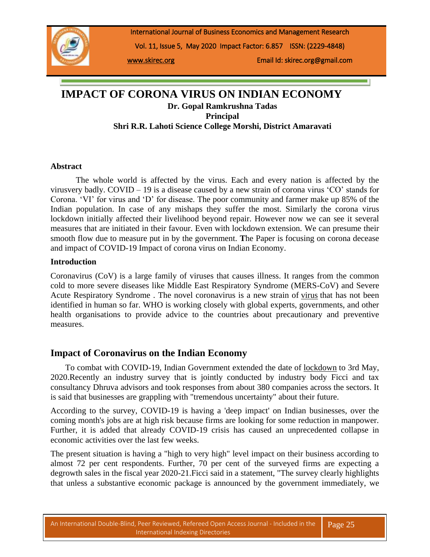

International Journal of Business Economics and Management Research

Vol. 11, Issue 5, May 2020 Impact Factor: 6.857 ISSN: (2229-4848)

[www.skirec.org](http://www.skirec.org/) Email Id: skirec.org@gmail.com

# **IMPACT OF CORONA VIRUS ON INDIAN ECONOMY Dr. Gopal Ramkrushna Tadas Principal Shri R.R. Lahoti Science College Morshi, District Amaravati**

#### **Abstract**

 The whole world is affected by the virus. Each and every nation is affected by the virusvery badly. COVID – 19 is a disease caused by a new strain of corona virus 'CO' stands for Corona. 'VI' for virus and 'D' for disease. The poor community and farmer make up 85% of the Indian population. In case of any mishaps they suffer the most. Similarly the corona virus lockdown initially affected their livelihood beyond repair. However now we can see it several measures that are initiated in their favour. Even with lockdown extension. We can presume their smooth flow due to measure put in by the government. **T**he Paper is focusing on corona decease and impact of COVID-19 Impact of corona virus on Indian Economy.

#### **Introduction**

Coronavirus (CoV) is a large family of viruses that causes illness. It ranges from the common cold to more severe diseases like Middle East Respiratory Syndrome (MERS-CoV) and Severe Acute Respiratory Syndrome . The novel coronavirus is a new strain of [virus](https://www.jagranjosh.com/general-knowledge/unknown-facts-about-viruses-1522674277-1) that has not been identified in human so far. WHO is working closely with global experts, governments, and other health organisations to provide advice to the countries about precautionary and preventive measures.

### **Impact of Coronavirus on the Indian Economy**

 To combat with COVID-19, Indian Government extended the date of [lockdown](https://www.jagranjosh.com/general-knowledge/what-is-the-difference-between-lockdown-and-curfew-1585036340-1) to 3rd May, 2020.Recently an industry survey that is jointly conducted by industry body Ficci and tax consultancy Dhruva advisors and took responses from about 380 companies across the sectors. It is said that businesses are grappling with "tremendous uncertainty" about their future.

According to the survey, COVID-19 is having a 'deep impact' on Indian businesses, over the coming month's jobs are at high risk because firms are looking for some reduction in manpower. Further, it is added that already COVID-19 crisis has caused an unprecedented collapse in economic activities over the last few weeks.

The present situation is having a "high to very high" level impact on their business according to almost 72 per cent respondents. Further, 70 per cent of the surveyed firms are expecting a degrowth sales in the fiscal year 2020-21.Ficci said in a statement, "The survey clearly highlights that unless a substantive economic package is announced by the government immediately, we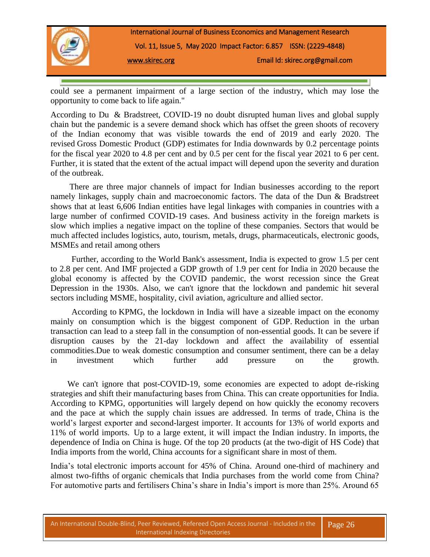

could see a permanent impairment of a large section of the industry, which may lose the opportunity to come back to life again."

According to Du & Bradstreet, COVID-19 no doubt disrupted human lives and global supply chain but the pandemic is a severe demand shock which has offset the green shoots of recovery of the Indian economy that was visible towards the end of 2019 and early 2020. The revised Gross Domestic Product (GDP) estimates for India downwards by 0.2 percentage points for the fiscal year 2020 to 4.8 per cent and by 0.5 per cent for the fiscal year 2021 to 6 per cent. Further, it is stated that the extent of the actual impact will depend upon the severity and duration of the outbreak.

 There are three major channels of impact for Indian businesses according to the report namely linkages, supply chain and macroeconomic factors. The data of the Dun & Bradstreet shows that at least 6,606 Indian entities have legal linkages with companies in countries with a large number of confirmed COVID-19 cases. And business activity in the foreign markets is slow which implies a negative impact on the topline of these companies. Sectors that would be much affected includes logistics, auto, tourism, metals, drugs, pharmaceuticals, electronic goods, MSMEs and retail among others

 Further, according to the World Bank's assessment, India is expected to grow 1.5 per cent to 2.8 per cent. And IMF projected a GDP growth of 1.9 per cent for India in 2020 because the global economy is affected by the COVID pandemic, the worst recession since the Great Depression in the 1930s. Also, we can't ignore that the lockdown and pandemic hit several sectors including MSME, hospitality, civil aviation, agriculture and allied sector.

 According to KPMG, the lockdown in India will have a sizeable impact on the economy mainly on consumption which is the biggest component of GDP. Reduction in the urban transaction can lead to a steep fall in the consumption of non-essential goods. It can be severe if disruption causes by the 21-day lockdown and affect the availability of essential commodities.Due to weak domestic consumption and consumer sentiment, there can be a delay in investment which further add pressure on the growth.

We can't ignore that post-COVID-19, some economies are expected to adopt de-risking strategies and shift their manufacturing bases from China. This can create opportunities for India. According to KPMG, opportunities will largely depend on how quickly the economy recovers and the pace at which the supply chain issues are addressed. In terms of trade, China is the world's largest exporter and second-largest importer. It accounts for 13% of world exports and 11% of world imports. Up to a large extent, it will impact the Indian industry. In imports, the dependence of India on China is huge. Of the top 20 products (at the two-digit of HS Code) that India imports from the world, China accounts for a significant share in most of them.

India's total electronic imports account for 45% of China. Around one-third of machinery and almost two-fifths of organic chemicals that India purchases from the world come from China? For automotive parts and fertilisers China's share in India's import is more than 25%. Around 65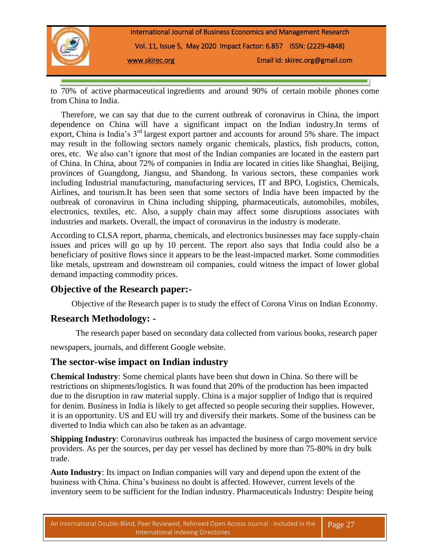

to 70% of active pharmaceutical ingredients and around 90% of certain mobile phones come from China to India.

 Therefore, we can say that due to the current outbreak of coronavirus in China, the import dependence on China will have a significant impact on the Indian industry.In terms of export, China is India's 3rd largest export partner and accounts for around 5% share. The impact may result in the following sectors namely organic chemicals, plastics, fish products, cotton, ores, etc. We also can't ignore that most of the Indian companies are located in the eastern part of China. In China, about 72% of companies in India are located in cities like Shanghai, Beijing, provinces of Guangdong, Jiangsu, and Shandong. In various sectors, these companies work including Industrial manufacturing, manufacturing services, IT and BPO, Logistics, Chemicals, Airlines, and tourism.It has been seen that some sectors of India have been impacted by the outbreak of coronavirus in China including shipping, pharmaceuticals, automobiles, mobiles, electronics, textiles, etc. Also, a supply chain may affect some disruptions associates with industries and markets. Overall, the impact of coronavirus in the industry is moderate.

According to CLSA report, pharma, chemicals, and electronics businesses may face supply-chain issues and prices will go up by 10 percent. The report also says that India could also be a beneficiary of positive flows since it appears to be the least-impacted market. Some commodities like metals, upstream and downstream oil companies, could witness the impact of lower global demand impacting commodity prices.

### **Objective of the Research paper:-**

Objective of the Research paper is to study the effect of Corona Virus on Indian Economy.

### **Research Methodology: -**

The research paper based on secondary data collected from various books, research paper

newspapers, journals, and different Google website.

## **The sector-wise impact on Indian industry**

**Chemical Industry**: Some chemical plants have been shut down in China. So there will be restrictions on shipments/logistics. It was found that 20% of the production has been impacted due to the disruption in raw material supply. China is a major supplier of Indigo that is required for denim. Business in India is likely to get affected so people securing their supplies. However, it is an opportunity. US and EU will try and diversify their markets. Some of the business can be diverted to India which can also be taken as an advantage.

**Shipping Industry:** Coronavirus outbreak has impacted the business of cargo movement service providers. As per the sources, per day per vessel has declined by more than 75-80% in dry bulk trade.

**Auto Industry**: Its impact on Indian companies will vary and depend upon the extent of the business with China. China's business no doubt is affected. However, current levels of the inventory seem to be sufficient for the Indian industry. Pharmaceuticals Industry: Despite being